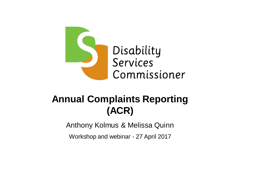

## **Annual Complaints Reporting (ACR)**

Anthony Kolmus & Melissa Quinn

Workshop and webinar - 27 April 2017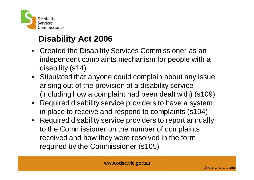

## **Disability Act 2006**

- Created the Disability Services Commissioner as an independent complaints mechanism for people with a disability (s14)
- Stipulated that anyone could complain about any issue arising out of the provision of a disability service (including how a complaint had been dealt with) (s109)
- Required disability service providers to have a system in place to receive and respond to complaints (s104)
- Required disability service providers to report annually to the Commissioner on the number of complaints received and how they were resolved in the form required by the Commissioner (s105)



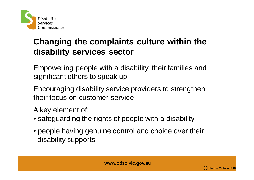

### **Changing the complaints culture within the disability services sector**

Empowering people with a disability, their families and significant others to speak up

Encouraging disability service providers to strengthen their focus on customer service

A key element of:

- safeguarding the rights of people with a disability
- people having genuine control and choice over their disability supports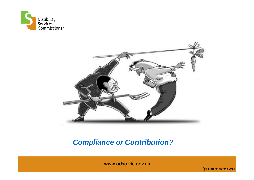



### *Compliance or Contribution?*

www.odsc.vic.gov.au

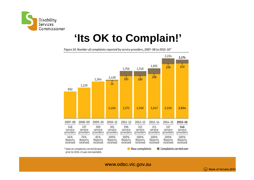

## **'Its OK to Complain!'**

Figure 10: Number of complaints reported by service providers, 2007-08 to 2015-16\* ..........



www.odsc.vic.gov.au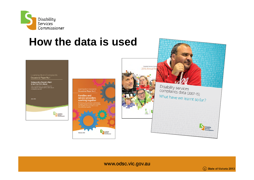

## **How the data is used**





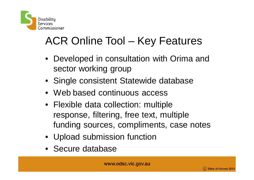

# ACR Online Tool – Key Features

- Developed in consultation with Orima and sector working group
- Single consistent Statewide database
- Web based continuous access
- Flexible data collection: multiple response, filtering, free text, multiple funding sources, compliments, case notes
- Upload submission function
- Secure database

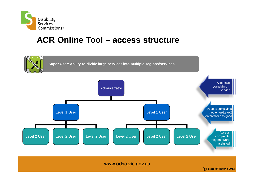

### **ACR Online Tool – access structure**

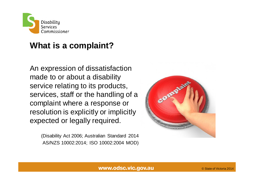

### **What is a complaint?**

An expression of dissatisfaction made to or about a disability service relating to its products, services, staff or the handling of a complaint where a response or resolution is explicitly or implicitly expected or legally required.

> (Disability Act 2006; Australian Standard 2014 AS/NZS 10002:2014; ISO 10002:2004 MOD)

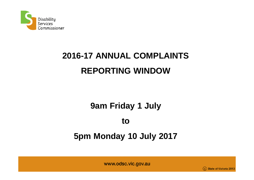

# **2016-17 ANNUAL COMPLAINTS REPORTING WINDOW**

### **9am Friday 1 July**

#### **to**

### **5pm Monday 10 July 2017**

www.odsc.vic.gov.au